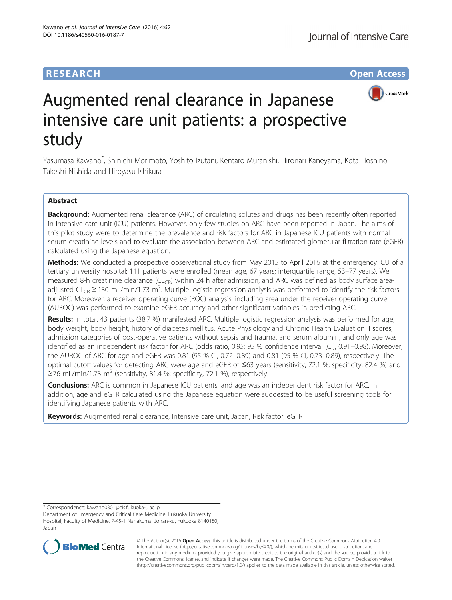# **RESEARCH CHE Open Access**



# Augmented renal clearance in Japanese intensive care unit patients: a prospective study

Yasumasa Kawano\* , Shinichi Morimoto, Yoshito Izutani, Kentaro Muranishi, Hironari Kaneyama, Kota Hoshino, Takeshi Nishida and Hiroyasu Ishikura

## Abstract

Background: Augmented renal clearance (ARC) of circulating solutes and drugs has been recently often reported in intensive care unit (ICU) patients. However, only few studies on ARC have been reported in Japan. The aims of this pilot study were to determine the prevalence and risk factors for ARC in Japanese ICU patients with normal serum creatinine levels and to evaluate the association between ARC and estimated glomerular filtration rate (eGFR) calculated using the Japanese equation.

Methods: We conducted a prospective observational study from May 2015 to April 2016 at the emergency ICU of a tertiary university hospital; 111 patients were enrolled (mean age, 67 years; interquartile range, 53–77 years). We measured 8-h creatinine clearance ( $CL_{CR}$ ) within 24 h after admission, and ARC was defined as body surface areaadjusted CL<sub>CR</sub> ≥ 130 mL/min/1.73 m<sup>2</sup>. Multiple logistic regression analysis was performed to identify the risk factors for ARC. Moreover, a receiver operating curve (ROC) analysis, including area under the receiver operating curve (AUROC) was performed to examine eGFR accuracy and other significant variables in predicting ARC.

Results: In total, 43 patients (38.7 %) manifested ARC. Multiple logistic regression analysis was performed for age, body weight, body height, history of diabetes mellitus, Acute Physiology and Chronic Health Evaluation II scores, admission categories of post-operative patients without sepsis and trauma, and serum albumin, and only age was identified as an independent risk factor for ARC (odds ratio, 0.95; 95 % confidence interval [CI], 0.91–0.98). Moreover, the AUROC of ARC for age and eGFR was 0.81 (95 % CI, 0.72–0.89) and 0.81 (95 % CI, 0.73–0.89), respectively. The optimal cutoff values for detecting ARC were age and eGFR of ≤63 years (sensitivity, 72.1 %; specificity, 82.4 %) and  $\geq$ 76 mL/min/1.73 m<sup>2</sup> (sensitivity, 81.4 %; specificity, 72.1 %), respectively.

**Conclusions:** ARC is common in Japanese ICU patients, and age was an independent risk factor for ARC. In addition, age and eGFR calculated using the Japanese equation were suggested to be useful screening tools for identifying Japanese patients with ARC.

Keywords: Augmented renal clearance, Intensive care unit, Japan, Risk factor, eGFR

\* Correspondence: [kawano0301@cis.fukuoka-u.ac.jp](mailto:kawano0301@cis.fukuoka-u.ac.jp)

Department of Emergency and Critical Care Medicine, Fukuoka University Hospital, Faculty of Medicine, 7-45-1 Nanakuma, Jonan-ku, Fukuoka 8140180, Japan



© The Author(s). 2016 Open Access This article is distributed under the terms of the Creative Commons Attribution 4.0 International License [\(http://creativecommons.org/licenses/by/4.0/](http://creativecommons.org/licenses/by/4.0/)), which permits unrestricted use, distribution, and reproduction in any medium, provided you give appropriate credit to the original author(s) and the source, provide a link to the Creative Commons license, and indicate if changes were made. The Creative Commons Public Domain Dedication waiver [\(http://creativecommons.org/publicdomain/zero/1.0/](http://creativecommons.org/publicdomain/zero/1.0/)) applies to the data made available in this article, unless otherwise stated.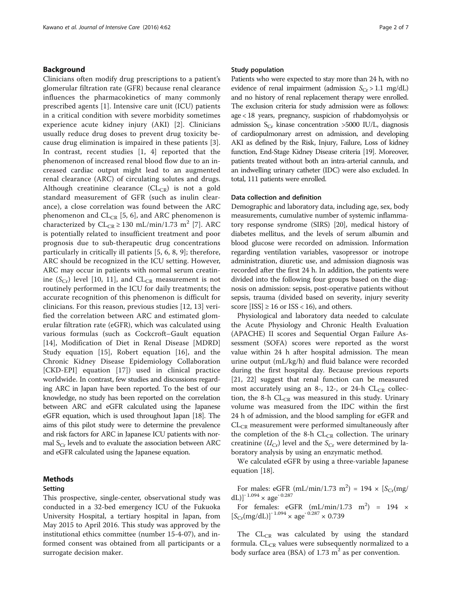#### Background

Clinicians often modify drug prescriptions to a patient's glomerular filtration rate (GFR) because renal clearance influences the pharmacokinetics of many commonly prescribed agents [[1\]](#page-6-0). Intensive care unit (ICU) patients in a critical condition with severe morbidity sometimes experience acute kidney injury (AKI) [[2\]](#page-6-0). Clinicians usually reduce drug doses to prevent drug toxicity because drug elimination is impaired in these patients [[3](#page-6-0)]. In contrast, recent studies [[1](#page-6-0), [4\]](#page-6-0) reported that the phenomenon of increased renal blood flow due to an increased cardiac output might lead to an augmented renal clearance (ARC) of circulating solutes and drugs. Although creatinine clearance  $CL_{CR}$  is not a gold standard measurement of GFR (such as inulin clearance), a close correlation was found between the ARC phenomenon and  $CL_{CR}$  [\[5](#page-6-0), [6](#page-6-0)], and ARC phenomenon is characterized by  $CL_{CR} \ge 130 \text{ mL/min}/1.73 \text{ m}^2$  [[7\]](#page-6-0). ARC is potentially related to insufficient treatment and poor prognosis due to sub-therapeutic drug concentrations particularly in critically ill patients [[5, 6, 8, 9](#page-6-0)]; therefore, ARC should be recognized in the ICU setting. However, ARC may occur in patients with normal serum creatinine  $(S_{Cr})$  level [\[10, 11\]](#page-6-0), and  $CL_{CR}$  measurement is not routinely performed in the ICU for daily treatments; the accurate recognition of this phenomenon is difficult for clinicians. For this reason, previous studies [[12, 13](#page-6-0)] verified the correlation between ARC and estimated glomerular filtration rate (eGFR), which was calculated using various formulas (such as Cockcroft–Gault equation [[14\]](#page-6-0), Modification of Diet in Renal Disease [MDRD] Study equation [\[15](#page-6-0)], Robert equation [\[16](#page-6-0)], and the Chronic Kidney Disease Epidemiology Collaboration [CKD-EPI] equation [[17\]](#page-6-0)) used in clinical practice worldwide. In contrast, few studies and discussions regarding ARC in Japan have been reported. To the best of our knowledge, no study has been reported on the correlation between ARC and eGFR calculated using the Japanese eGFR equation, which is used throughout Japan [[18](#page-6-0)]. The aims of this pilot study were to determine the prevalence and risk factors for ARC in Japanese ICU patients with normal  $S_{Cr}$  levels and to evaluate the association between ARC and eGFR calculated using the Japanese equation.

#### Methods

#### Setting

This prospective, single-center, observational study was conducted in a 32-bed emergency ICU of the Fukuoka University Hospital, a tertiary hospital in Japan, from May 2015 to April 2016. This study was approved by the institutional ethics committee (number 15-4-07), and informed consent was obtained from all participants or a surrogate decision maker.

#### Study population

Patients who were expected to stay more than 24 h, with no evidence of renal impairment (admission  $S_{Cr} > 1.1$  mg/dL) and no history of renal replacement therapy were enrolled. The exclusion criteria for study admission were as follows: age < 18 years, pregnancy, suspicion of rhabdomyolysis or admission  $S_{Cr}$  kinase concentration >5000 IU/L, diagnosis of cardiopulmonary arrest on admission, and developing AKI as defined by the Risk, Injury, Failure, Loss of kidney function, End-Stage Kidney Disease criteria [\[19\]](#page-6-0). Moreover, patients treated without both an intra-arterial cannula, and an indwelling urinary catheter (IDC) were also excluded. In total, 111 patients were enrolled.

#### Data collection and definition

Demographic and laboratory data, including age, sex, body measurements, cumulative number of systemic inflammatory response syndrome (SIRS) [\[20\]](#page-6-0), medical history of diabetes mellitus, and the levels of serum albumin and blood glucose were recorded on admission. Information regarding ventilation variables, vasopressor or inotrope administration, diuretic use, and admission diagnosis was recorded after the first 24 h. In addition, the patients were divided into the following four groups based on the diagnosis on admission: sepsis, post-operative patients without sepsis, trauma (divided based on severity, injury severity score  $[ISS] \ge 16$  or  $ISS < 16$ ), and others.

Physiological and laboratory data needed to calculate the Acute Physiology and Chronic Health Evaluation (APACHE) II scores and Sequential Organ Failure Assessment (SOFA) scores were reported as the worst value within 24 h after hospital admission. The mean urine output (mL/kg/h) and fluid balance were recorded during the first hospital day. Because previous reports [[21, 22\]](#page-6-0) suggest that renal function can be measured most accurately using an 8-, 12-, or 24-h  $CL_{CR}$  collection, the 8-h  $CL_{CR}$  was measured in this study. Urinary volume was measured from the IDC within the first 24 h of admission, and the blood sampling for eGFR and  $CL<sub>CR</sub>$  measurement were performed simultaneously after the completion of the 8-h  $CL_{CR}$  collection. The urinary creatinine  $(U_{Cr})$  level and the  $S_{Cr}$  were determined by laboratory analysis by using an enzymatic method.

We calculated eGFR by using a three-variable Japanese equation [\[18](#page-6-0)].

For males: eGFR (mL/min/1.73 m<sup>2</sup>) = 194  $\times$  [S<sub>Cr</sub>(mg/ dL)]<sup>-1.094</sup>  $\times$  age<sup>-0.287</sup>

For females: eGFR  $(mL/min/1.73 \text{ m}^2) = 194 \times$  $[S_{Cr}(mg/dL)]^{-1.094} \times age^{-0.287} \times 0.739$ 

The  $CL_{CR}$  was calculated by using the standard formula.  $CL_{CR}$  values were subsequently normalized to a body surface area (BSA) of 1.73  $m<sup>2</sup>$  as per convention.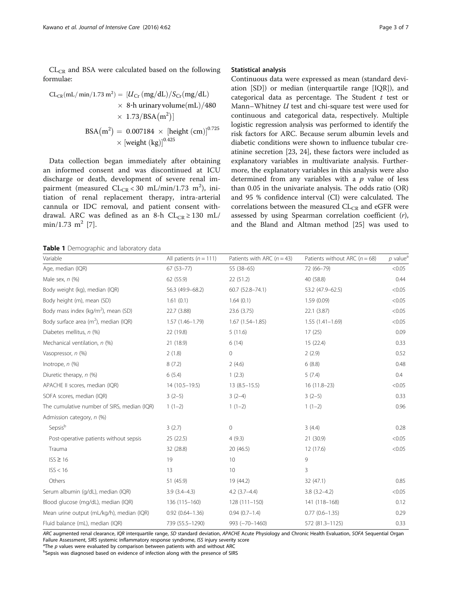<span id="page-2-0"></span> $CL<sub>CR</sub>$  and BSA were calculated based on the following formulae:

$$
\begin{aligned} \mathrm{CL_{CR}(mL/min/1.73\,m^2)} & = \ [U_\mathrm{Cr}\,(mg/dL)/S_\mathrm{Cr}(mg/dL) \\ & \times \ 8\text{-}h \text{ urinary volume}(mL)/480 \\ & \times \ 1.73/ \mathrm{BSA}\big(m^2\big)] \\ \mathrm{BSA}\big(m^2\big) & = \ 0.007184 \ \times \ [\text{height }(\text{cm})]^{0.725} \\ & \times \ [\text{weight }(\text{kg})]^{0.425} \end{aligned}
$$

Data collection began immediately after obtaining an informed consent and was discontinued at ICU discharge or death, development of severe renal impairment (measured  $CL_{CR}$  < 30 mL/min/1.73 m<sup>2</sup>), initiation of renal replacement therapy, intra-arterial cannula or IDC removal, and patient consent withdrawal. ARC was defined as an 8-h  $CL_{CR} \ge 130$  mL/  $min/1.73$  m<sup>2</sup> [\[7](#page-6-0)].

#### Statistical analysis

Continuous data were expressed as mean (standard deviation [SD]) or median (interquartile range [IQR]), and categorical data as percentage. The Student  $t$  test or Mann–Whitney U test and chi-square test were used for continuous and categorical data, respectively. Multiple logistic regression analysis was performed to identify the risk factors for ARC. Because serum albumin levels and diabetic conditions were shown to influence tubular creatinine secretion [[23, 24\]](#page-6-0), these factors were included as explanatory variables in multivariate analysis. Furthermore, the explanatory variables in this analysis were also determined from any variables with a  $p$  value of less than 0.05 in the univariate analysis. The odds ratio (OR) and 95 % confidence interval (CI) were calculated. The correlations between the measured  $CL_{CR}$  and eGFR were assessed by using Spearman correlation coefficient  $(r)$ , and the Bland and Altman method [[25\]](#page-6-0) was used to

Table 1 Demographic and laboratory data

| Variable                                        | All patients ( $n = 111$ ) | Patients with ARC ( $n = 43$ ) | Patients without ARC ( $n = 68$ ) | $p$ value <sup>a</sup> |
|-------------------------------------------------|----------------------------|--------------------------------|-----------------------------------|------------------------|
| Age, median (IQR)                               | $67(53 - 77)$              | $55(38-65)$                    | 72 (66-79)                        | < 0.05                 |
| Male sex, $n$ (%)                               | 62 (55.9)                  | 22(51.2)                       | 40 (58.8)                         | 0.44                   |
| Body weight (kg), median (IQR)                  | 56.3 (49.9-68.2)           | $60.7(52.8 - 74.1)$            | 53.2 (47.9-62.5)                  | < 0.05                 |
| Body height (m), mean (SD)                      | 1.61(0.1)                  | 1.64(0.1)                      | 1.59(0.09)                        | < 0.05                 |
| Body mass index (kg/m <sup>2</sup> ), mean (SD) | 22.7 (3.88)                | 23.6 (3.75)                    | 22.1(3.87)                        | < 0.05                 |
| Body surface area $(m^2)$ , median (IQR)        | $1.57(1.46 - 1.79)$        | $1.67(1.54 - 1.85)$            | $1.55(1.41 - 1.69)$               | < 0.05                 |
| Diabetes mellitus, n (%)                        | 22 (19.8)                  | 5(11.6)                        | 17(25)                            | 0.09                   |
| Mechanical ventilation, n (%)                   | 21 (18.9)                  | 6(14)                          | 15(22.4)                          | 0.33                   |
| Vasopressor, n (%)                              | 2(1.8)                     | $\mathbf{0}$                   | 2(2.9)                            | 0.52                   |
| Inotrope, $n$ $(\%)$                            | 8(7.2)                     | 2(4.6)                         | 6(8.8)                            | 0.48                   |
| Diuretic therapy, n (%)                         | 6(5.4)                     | 1(2.3)                         | 5(7.4)                            | 0.4                    |
| APACHE II scores, median (IQR)                  | 14 (10.5-19.5)             | $13(8.5-15.5)$                 | $16(11.8-23)$                     | < 0.05                 |
| SOFA scores, median (IQR)                       | $3(2-5)$                   | $3(2-4)$                       | $3(2-5)$                          | 0.33                   |
| The cumulative number of SIRS, median (IQR)     | $1(1-2)$                   | $1(1-2)$                       | $1(1-2)$                          | 0.96                   |
| Admission category, n (%)                       |                            |                                |                                   |                        |
| Sepsisb                                         | 3(2.7)                     | $\mathbf 0$                    | 3(4.4)                            | 0.28                   |
| Post-operative patients without sepsis          | 25(22.5)                   | 4(9.3)                         | 21 (30.9)                         | < 0.05                 |
| Trauma                                          | 32 (28.8)                  | 20(46.5)                       | 12 (17.6)                         | < 0.05                 |
| $ISS \geq 16$                                   | 19                         | 10                             | 9                                 |                        |
| ISS < 16                                        | 13                         | 10                             | 3                                 |                        |
| Others                                          | 51 (45.9)                  | 19 (44.2)                      | 32 (47.1)                         | 0.85                   |
| Serum albumin (g/dL), median (IQR)              | $3.9(3.4 - 4.3)$           | $4.2$ $(3.7-4.4)$              | $3.8(3.2 - 4.2)$                  | < 0.05                 |
| Blood glucose (mg/dL), median (IQR)             | 136 (115-160)              | $128(111 - 150)$               | 141 (118-168)                     | 0.12                   |
| Mean urine output (mL/kg/h), median (IQR)       | $0.92(0.64 - 1.36)$        | $0.94(0.7-1.4)$                | $0.77(0.6 - 1.35)$                | 0.29                   |
| Fluid balance (mL), median (IQR)                | 739 (55.5-1290)            | 993 (-70-1460)                 | 572 (81.3-1125)                   | 0.33                   |

ARC augmented renal clearance, IQR interquartile range, SD standard deviation, APACHE Acute Physiology and Chronic Health Evaluation, SOFA Sequential Organ Failure Assessment, SIRS systemic inflammatory response syndrome, ISS injury severity score<br><sup>a</sup>The *p* values were evaluated by comparison between patients with and without ARC

<sup>a</sup>The *p* values were evaluated by comparison between patients with and without ARC<br><sup>b</sup>Sepsis was diagnosed based on evidence of infection along with the presence of SIRS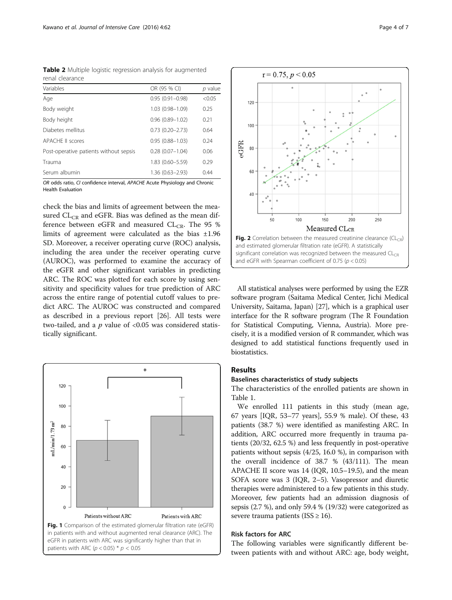<span id="page-3-0"></span>

|                 | Table 2 Multiple logistic regression analysis for augmented |  |
|-----------------|-------------------------------------------------------------|--|
| renal clearance |                                                             |  |

| OR (95 % CI)        | p value |
|---------------------|---------|
| $0.95(0.91 - 0.98)$ | < 0.05  |
| 1.03 (0.98-1.09)    | 0.25    |
| $0.96(0.89 - 1.02)$ | 0.21    |
| $0.73(0.20 - 2.73)$ | 0.64    |
| $0.95(0.88 - 1.03)$ | 0.24    |
| $0.28(0.07 - 1.04)$ | 0.06    |
| 1.83 (0.60-5.59)    | 0.29    |
| 1.36 (0.63-2.93)    | 0.44    |
|                     |         |

OR odds ratio, CI confidence interval, APACHE Acute Physiology and Chronic Health Evaluation

check the bias and limits of agreement between the measured  $CL_{CR}$  and eGFR. Bias was defined as the mean difference between eGFR and measured  $CL_{CR}$ . The 95 % limits of agreement were calculated as the bias ±1.96 SD. Moreover, a receiver operating curve (ROC) analysis, including the area under the receiver operating curve (AUROC), was performed to examine the accuracy of the eGFR and other significant variables in predicting ARC. The ROC was plotted for each score by using sensitivity and specificity values for true prediction of ARC across the entire range of potential cutoff values to predict ARC. The AUROC was constructed and compared as described in a previous report [\[26\]](#page-6-0). All tests were two-tailed, and a  $p$  value of <0.05 was considered statistically significant.





All statistical analyses were performed by using the EZR software program (Saitama Medical Center, Jichi Medical University, Saitama, Japan) [\[27\]](#page-6-0), which is a graphical user interface for the R software program (The R Foundation for Statistical Computing, Vienna, Austria). More precisely, it is a modified version of R commander, which was designed to add statistical functions frequently used in biostatistics.

#### Results

#### Baselines characteristics of study subjects

The characteristics of the enrolled patients are shown in Table [1.](#page-2-0)

We enrolled 111 patients in this study (mean age, 67 years [IQR, 53–77 years], 55.9 % male). Of these, 43 patients (38.7 %) were identified as manifesting ARC. In addition, ARC occurred more frequently in trauma patients (20/32, 62.5 %) and less frequently in post-operative patients without sepsis (4/25, 16.0 %), in comparison with the overall incidence of 38.7 % (43/111). The mean APACHE II score was 14 (IQR, 10.5–19.5), and the mean SOFA score was 3 (IQR, 2–5). Vasopressor and diuretic therapies were administered to a few patients in this study. Moreover, few patients had an admission diagnosis of sepsis (2.7 %), and only 59.4 % (19/32) were categorized as severe trauma patients ( $ISS \ge 16$ ).

#### Risk factors for ARC

The following variables were significantly different between patients with and without ARC: age, body weight,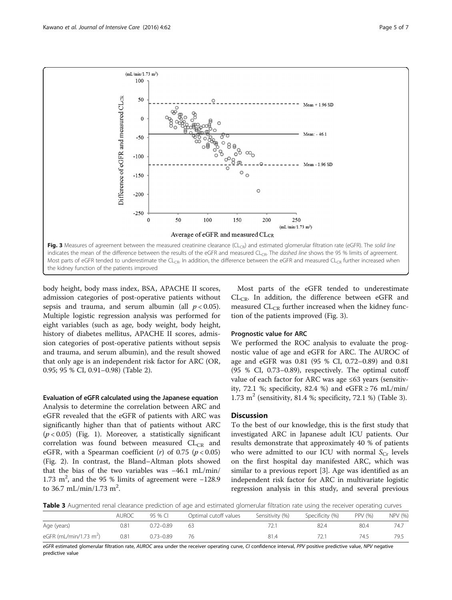

body height, body mass index, BSA, APACHE II scores, admission categories of post-operative patients without sepsis and trauma, and serum albumin (all  $p < 0.05$ ). Multiple logistic regression analysis was performed for eight variables (such as age, body weight, body height, history of diabetes mellitus, APACHE II scores, admission categories of post-operative patients without sepsis and trauma, and serum albumin), and the result showed that only age is an independent risk factor for ARC (OR, 0.95; 95 % CI, 0.91–0.98) (Table [2](#page-3-0)).

#### Evaluation of eGFR calculated using the Japanese equation

Analysis to determine the correlation between ARC and eGFR revealed that the eGFR of patients with ARC was significantly higher than that of patients without ARC  $(p < 0.05)$  (Fig. [1\)](#page-3-0). Moreover, a statistically significant correlation was found between measured  $CL_{CR}$  and eGFR, with a Spearman coefficient (r) of 0.75 ( $p < 0.05$ ) (Fig. [2\)](#page-3-0). In contrast, the Bland–Altman plots showed that the bias of the two variables was −46.1 mL/min/ 1.73 m<sup>2</sup>, and the 95 % limits of agreement were  $-128.9$ to 36.7 mL/min/1.73 m<sup>2</sup>.

Most parts of the eGFR tended to underestimate  $CL<sub>CR</sub>$ . In addition, the difference between eGFR and measured  $CL_{CR}$  further increased when the kidney function of the patients improved (Fig. 3).

#### Prognostic value for ARC

We performed the ROC analysis to evaluate the prognostic value of age and eGFR for ARC. The AUROC of age and eGFR was 0.81 (95 % CI, 0.72–0.89) and 0.81 (95 % CI, 0.73–0.89), respectively. The optimal cutoff value of each factor for ARC was age ≤63 years (sensitivity, 72.1 %; specificity, 82.4 %) and eGFR  $\geq$  76 mL/min/ 1.73  $m^2$  (sensitivity, 81.4 %; specificity, 72.1 %) (Table 3).

#### **Discussion**

To the best of our knowledge, this is the first study that investigated ARC in Japanese adult ICU patients. Our results demonstrate that approximately 40 % of patients who were admitted to our ICU with normal  $S_{Cr}$  levels on the first hospital day manifested ARC, which was similar to a previous report [\[3](#page-6-0)]. Age was identified as an independent risk factor for ARC in multivariate logistic regression analysis in this study, and several previous

Table 3 Augmented renal clearance prediction of age and estimated glomerular filtration rate using the receiver operating curves

|                                    | <b>AUROC</b> | 95 % CI       | Optimal cutoff values | Sensitivity (%) | Specificity (%) | PPV(%) | <b>NPV (%)</b> |
|------------------------------------|--------------|---------------|-----------------------|-----------------|-----------------|--------|----------------|
| Age (years)                        | 0.81         | $0.72 - 0.89$ | 63                    |                 | 82.4            | 80.4   | 74.7           |
| eGFR (mL/min/1.73 m <sup>2</sup> ) | 0.81         | $0.73 - 0.89$ | 76                    |                 | z.              | 74.5   | 79.5           |

eGFR estimated glomerular filtration rate, AUROC area under the receiver operating curve, CI confidence interval, PPV positive predictive value, NPV negative predictive value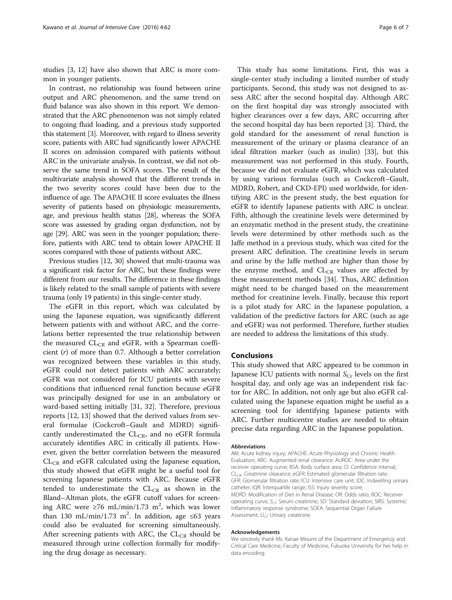studies [[3, 12](#page-6-0)] have also shown that ARC is more common in younger patients.

In contrast, no relationship was found between urine output and ARC phenomenon, and the same trend on fluid balance was also shown in this report. We demonstrated that the ARC phenomenon was not simply related to ongoing fluid loading, and a previous study supported this statement [[3](#page-6-0)]. Moreover, with regard to illness severity score, patients with ARC had significantly lower APACHE II scores on admission compared with patients without ARC in the univariate analysis. In contrast, we did not observe the same trend in SOFA scores. The result of the multivariate analysis showed that the different trends in the two severity scores could have been due to the influence of age. The APACHE II score evaluates the illness severity of patients based on physiologic measurements, age, and previous health status [[28\]](#page-6-0), whereas the SOFA score was assessed by grading organ dysfunction, not by age [\[29\]](#page-6-0). ARC was seen in the younger population; therefore, patients with ARC tend to obtain lower APACHE II scores compared with those of patients without ARC.

Previous studies [\[12, 30](#page-6-0)] showed that multi-trauma was a significant risk factor for ARC, but these findings were different from our results. The difference in these findings is likely related to the small sample of patients with severe trauma (only 19 patients) in this single-center study.

The eGFR in this report, which was calculated by using the Japanese equation, was significantly different between patients with and without ARC, and the correlations better represented the true relationship between the measured  $CL_{CR}$  and eGFR, with a Spearman coefficient  $(r)$  of more than 0.7. Although a better correlation was recognized between these variables in this study, eGFR could not detect patients with ARC accurately; eGFR was not considered for ICU patients with severe conditions that influenced renal function because eGFR was principally designed for use in an ambulatory or ward-based setting initially [\[31](#page-6-0), [32\]](#page-6-0). Therefore, previous reports [[12, 13\]](#page-6-0) showed that the derived values from several formulae (Cockcroft–Gault and MDRD) significantly underestimated the  $CL_{CR}$ , and no eGFR formula accurately identifies ARC in critically ill patients. However, given the better correlation between the measured  $CL_{CR}$  and eGFR calculated using the Japanese equation, this study showed that eGFR might be a useful tool for screening Japanese patients with ARC. Because eGFR tended to underestimate the  $CL_{CR}$  as shown in the Bland–Altman plots, the eGFR cutoff values for screening ARC were ≥76 mL/min/1.73 m<sup>2</sup>, which was lower than 130 mL/min/1.73 m<sup>2</sup>. In addition, age ≤63 years could also be evaluated for screening simultaneously. After screening patients with ARC, the  $CL_{CR}$  should be measured through urine collection formally for modifying the drug dosage as necessary.

This study has some limitations. First, this was a single-center study including a limited number of study participants. Second, this study was not designed to assess ARC after the second hospital day. Although ARC on the first hospital day was strongly associated with higher clearances over a few days, ARC occurring after the second hospital day has been reported [\[3\]](#page-6-0). Third, the gold standard for the assessment of renal function is measurement of the urinary or plasma clearance of an ideal filtration marker (such as inulin) [[33](#page-6-0)], but this measurement was not performed in this study. Fourth, because we did not evaluate eGFR, which was calculated by using various formulas (such as Cockcroft–Gault, MDRD, Robert, and CKD-EPI) used worldwide, for identifying ARC in the present study, the best equation for eGFR to identify Japanese patients with ARC is unclear. Fifth, although the creatinine levels were determined by an enzymatic method in the present study, the creatinine levels were determined by other methods such as the Jaffe method in a previous study, which was cited for the present ARC definition. The creatinine levels in serum and urine by the Jaffe method are higher than those by the enzyme method, and  $CL_{CR}$  values are affected by these measurement methods [\[34](#page-6-0)]. Thus, ARC definition might need to be changed based on the measurement method for creatinine levels. Finally, because this report is a pilot study for ARC in the Japanese population, a validation of the predictive factors for ARC (such as age and eGFR) was not performed. Therefore, further studies are needed to address the limitations of this study.

#### Conclusions

This study showed that ARC appeared to be common in Japanese ICU patients with normal  $S_{Cr}$  levels on the first hospital day, and only age was an independent risk factor for ARC. In addition, not only age but also eGFR calculated using the Japanese equation might be useful as a screening tool for identifying Japanese patients with ARC. Further multicentre studies are needed to obtain precise data regarding ARC in the Japanese population.

#### Abbreviations

AKI: Acute kidney injury; APACHE: Acute Physiology and Chronic Health Evaluation; ARC: Augmented renal clearance; AUROC: Area under the receiver operating curve; BSA: Body surface area; CI: Confidence interval; CL<sub>CR</sub>: Creatinine clearance; eGFR: Estimated glomerular filtration rate; GFR: Glomerular filtration rate; ICU: Intensive care unit; IDC: Indwelling urinary catheter; IQR: Interquartile range; ISS: Injury severity score; MDRD: Modification of Diet in Renal Disease; OR: Odds ratio; ROC: Receiver operating curve; S<sub>Cr</sub>: Serum creatinine; SD: Standard deviation; SIRS: Systemic inflammatory response syndrome; SOFA: Sequential Organ Failure Assessment;  $U_{Cr}$ : Urinary creatinine

#### Acknowledgements

We sincerely thank Ms. Kanae Misumi of the Department of Emergency and Critical Care Medicine, Faculty of Medicine, Fukuoka University for her help in data encoding.